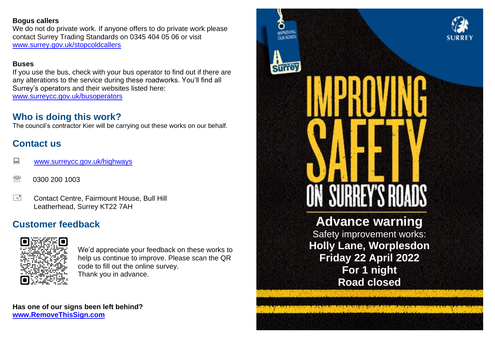### **Bogus callers**

We do not do private work. If anyone offers to do private work please contact Surrey Trading Standards on 0345 404 05 06 or visit [www.surrey.gov.uk/stopcoldcallers](http://www.surrey.gov.uk/stopcoldcallers)

### **Buses**

If you use the bus, check with your bus operator to find out if there are any alterations to the service during these roadworks. You'll find all Surrey's operators and their websites listed here: [www.surreycc.gov.uk/busoperators](file:///C:/Users/StWheele/AppData/Local/Temp/notes4DDEEE/www.surreycc.gov.uk/busoperators)

## **Who is doing this work?**

The council's contractor Kier will be carrying out these works on our behalf.

# **Contact us**

- **WWW.surreycc.gov.uk/highways**
- <sup><sup>3</sup> 0300 200 1003</sup>
- E Contact Centre, Fairmount House, Bull Hill Leatherhead, Surrey KT22 7AH

# **Customer feedback**



We'd appreciate your feedback on these works to help us continue to improve. Please scan the QR code to fill out the online survey. Thank you in advance.

**Has one of our signs been left behind? [www.RemoveThisSign.com](http://www.removethissign.com/)**